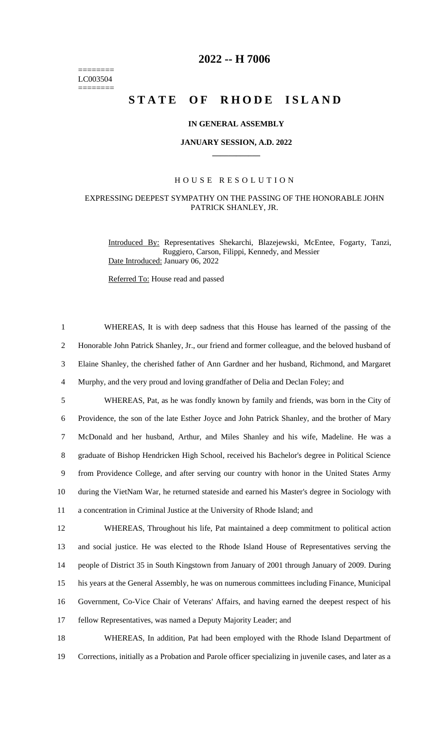======== LC003504  $=$ 

# **2022 -- H 7006**

# **STATE OF RHODE ISLAND**

#### **IN GENERAL ASSEMBLY**

#### **JANUARY SESSION, A.D. 2022 \_\_\_\_\_\_\_\_\_\_\_\_**

### H O U S E R E S O L U T I O N

## EXPRESSING DEEPEST SYMPATHY ON THE PASSING OF THE HONORABLE JOHN PATRICK SHANLEY, JR.

Introduced By: Representatives Shekarchi, Blazejewski, McEntee, Fogarty, Tanzi, Ruggiero, Carson, Filippi, Kennedy, and Messier Date Introduced: January 06, 2022

Referred To: House read and passed

| $\mathbf{1}$   | WHEREAS, It is with deep sadness that this House has learned of the passing of the               |
|----------------|--------------------------------------------------------------------------------------------------|
| $\overline{2}$ | Honorable John Patrick Shanley, Jr., our friend and former colleague, and the beloved husband of |
| 3              | Elaine Shanley, the cherished father of Ann Gardner and her husband, Richmond, and Margaret      |
| $\overline{4}$ | Murphy, and the very proud and loving grandfather of Delia and Declan Foley; and                 |
| 5              | WHEREAS, Pat, as he was fondly known by family and friends, was born in the City of              |
| 6              | Providence, the son of the late Esther Joyce and John Patrick Shanley, and the brother of Mary   |
| $\overline{7}$ | McDonald and her husband, Arthur, and Miles Shanley and his wife, Madeline. He was a             |
| $\,8\,$        | graduate of Bishop Hendricken High School, received his Bachelor's degree in Political Science   |
| 9              | from Providence College, and after serving our country with honor in the United States Army      |
| 10             | during the VietNam War, he returned stateside and earned his Master's degree in Sociology with   |
| 11             | a concentration in Criminal Justice at the University of Rhode Island; and                       |
| 12             | WHEREAS, Throughout his life, Pat maintained a deep commitment to political action               |
| 13             | and social justice. He was elected to the Rhode Island House of Representatives serving the      |
| 14             | people of District 35 in South Kingstown from January of 2001 through January of 2009. During    |
| 15             | his years at the General Assembly, he was on numerous committees including Finance, Municipal    |
| 16             | Government, Co-Vice Chair of Veterans' Affairs, and having earned the deepest respect of his     |
| 17             | fellow Representatives, was named a Deputy Majority Leader; and                                  |
| 18             | WHEREAS, In addition, Pat had been employed with the Rhode Island Department of                  |

19 Corrections, initially as a Probation and Parole officer specializing in juvenile cases, and later as a